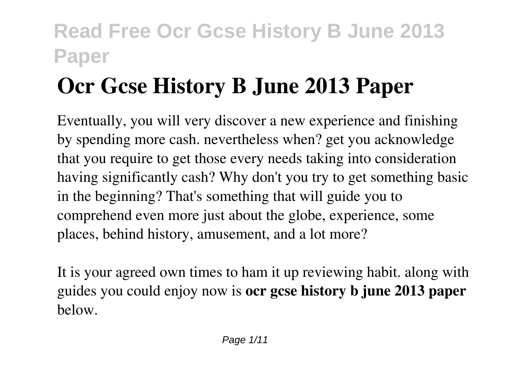# **Ocr Gcse History B June 2013 Paper**

Eventually, you will very discover a new experience and finishing by spending more cash. nevertheless when? get you acknowledge that you require to get those every needs taking into consideration having significantly cash? Why don't you try to get something basic in the beginning? That's something that will guide you to comprehend even more just about the globe, experience, some places, behind history, amusement, and a lot more?

It is your agreed own times to ham it up reviewing habit. along with guides you could enjoy now is **ocr gcse history b june 2013 paper** below.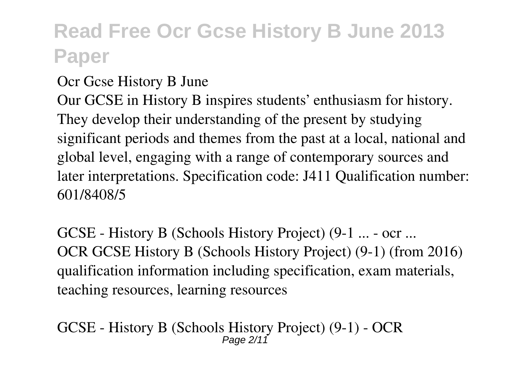#### Ocr Gcse History B June

Our GCSE in History B inspires students' enthusiasm for history. They develop their understanding of the present by studying significant periods and themes from the past at a local, national and global level, engaging with a range of contemporary sources and later interpretations. Specification code: J411 Qualification number: 601/8408/5

GCSE - History B (Schools History Project) (9-1 ... - ocr ... OCR GCSE History B (Schools History Project) (9-1) (from 2016) qualification information including specification, exam materials, teaching resources, learning resources

GCSE - History B (Schools History Project) (9-1) - OCR Page 2/11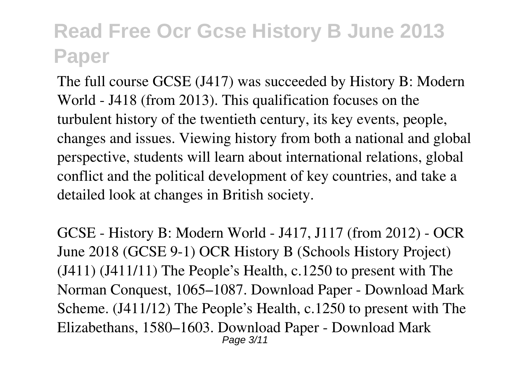The full course GCSE (J417) was succeeded by History B: Modern World - J418 (from 2013). This qualification focuses on the turbulent history of the twentieth century, its key events, people, changes and issues. Viewing history from both a national and global perspective, students will learn about international relations, global conflict and the political development of key countries, and take a detailed look at changes in British society.

GCSE - History B: Modern World - J417, J117 (from 2012) - OCR June 2018 (GCSE 9-1) OCR History B (Schools History Project) (J411) (J411/11) The People's Health, c.1250 to present with The Norman Conquest, 1065–1087. Download Paper - Download Mark Scheme. (J411/12) The People's Health, c.1250 to present with The Elizabethans, 1580–1603. Download Paper - Download Mark Page 3/11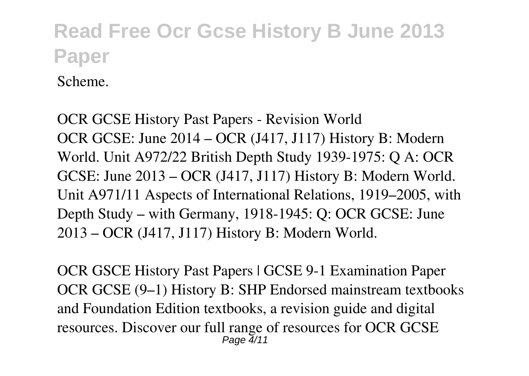Scheme.

OCR GCSE History Past Papers - Revision World OCR GCSE: June 2014 – OCR (J417, J117) History B: Modern World. Unit A972/22 British Depth Study 1939-1975: Q A: OCR GCSE: June 2013 – OCR (J417, J117) History B: Modern World. Unit A971/11 Aspects of International Relations, 1919–2005, with Depth Study – with Germany, 1918-1945: Q: OCR GCSE: June 2013 – OCR (J417, J117) History B: Modern World.

OCR GSCE History Past Papers | GCSE 9-1 Examination Paper OCR GCSE (9–1) History B: SHP Endorsed mainstream textbooks and Foundation Edition textbooks, a revision guide and digital resources. Discover our full range of resources for OCR GCSE  $P$ age  $4/11$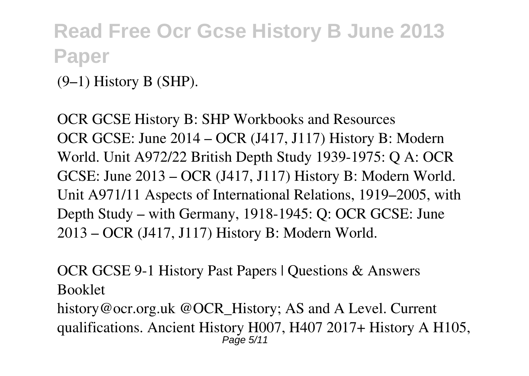(9–1) History B (SHP).

OCR GCSE History B: SHP Workbooks and Resources OCR GCSE: June 2014 – OCR (J417, J117) History B: Modern World. Unit A972/22 British Depth Study 1939-1975: Q A: OCR GCSE: June 2013 – OCR (J417, J117) History B: Modern World. Unit A971/11 Aspects of International Relations, 1919–2005, with Depth Study – with Germany, 1918-1945: Q: OCR GCSE: June 2013 – OCR (J417, J117) History B: Modern World.

OCR GCSE 9-1 History Past Papers | Questions & Answers Booklet

history@ocr.org.uk @OCR\_History; AS and A Level. Current qualifications. Ancient History H007, H407 2017+ History A H105, Page 5/11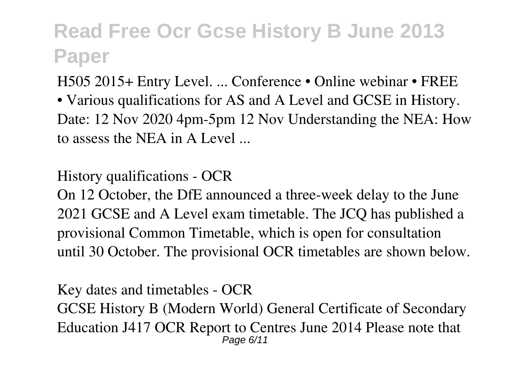H505 2015+ Entry Level. ... Conference • Online webinar • FREE

• Various qualifications for AS and A Level and GCSE in History. Date: 12 Nov 2020 4pm-5pm 12 Nov Understanding the NEA: How to assess the NEA in A Level ...

History qualifications - OCR

On 12 October, the DfE announced a three-week delay to the June 2021 GCSE and A Level exam timetable. The JCQ has published a provisional Common Timetable, which is open for consultation until 30 October. The provisional OCR timetables are shown below.

Key dates and timetables - OCR GCSE History B (Modern World) General Certificate of Secondary Education J417 OCR Report to Centres June 2014 Please note that Page 6/11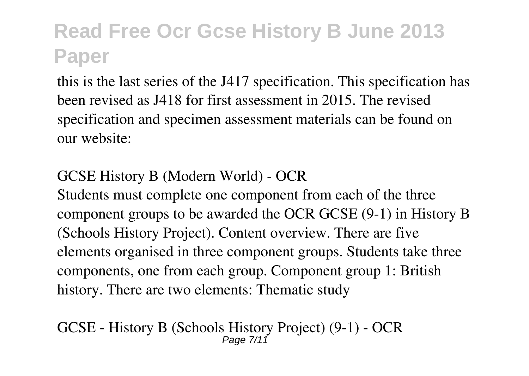this is the last series of the J417 specification. This specification has been revised as J418 for first assessment in 2015. The revised specification and specimen assessment materials can be found on our website:

#### GCSE History B (Modern World) - OCR

Students must complete one component from each of the three component groups to be awarded the OCR GCSE (9-1) in History B (Schools History Project). Content overview. There are five elements organised in three component groups. Students take three components, one from each group. Component group 1: British history. There are two elements: Thematic study

GCSE - History B (Schools History Project) (9-1) - OCR Page 7/11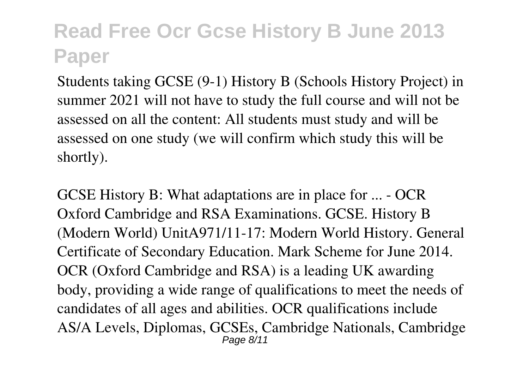Students taking GCSE (9-1) History B (Schools History Project) in summer 2021 will not have to study the full course and will not be assessed on all the content: All students must study and will be assessed on one study (we will confirm which study this will be shortly).

GCSE History B: What adaptations are in place for ... - OCR Oxford Cambridge and RSA Examinations. GCSE. History B (Modern World) UnitA971/11-17: Modern World History. General Certificate of Secondary Education. Mark Scheme for June 2014. OCR (Oxford Cambridge and RSA) is a leading UK awarding body, providing a wide range of qualifications to meet the needs of candidates of all ages and abilities. OCR qualifications include AS/A Levels, Diplomas, GCSEs, Cambridge Nationals, Cambridge Page 8/11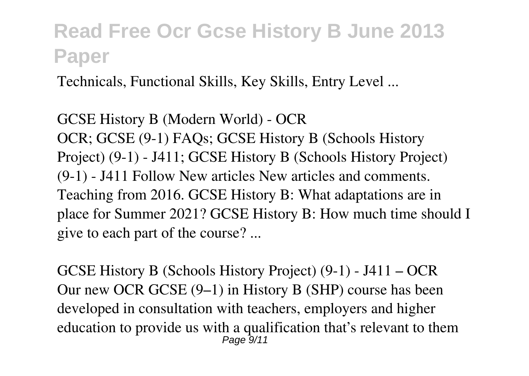Technicals, Functional Skills, Key Skills, Entry Level ...

GCSE History B (Modern World) - OCR OCR; GCSE (9-1) FAQs; GCSE History B (Schools History Project) (9-1) - J411; GCSE History B (Schools History Project) (9-1) - J411 Follow New articles New articles and comments. Teaching from 2016. GCSE History B: What adaptations are in place for Summer 2021? GCSE History B: How much time should I give to each part of the course? ...

GCSE History B (Schools History Project) (9-1) - J411 – OCR Our new OCR GCSE (9–1) in History B (SHP) course has been developed in consultation with teachers, employers and higher education to provide us with a qualification that's relevant to them  $P$ ane  $9/$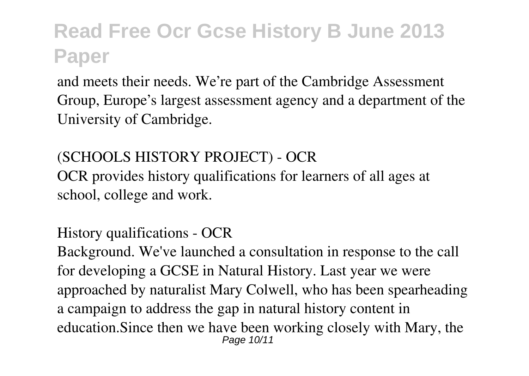and meets their needs. We're part of the Cambridge Assessment Group, Europe's largest assessment agency and a department of the University of Cambridge.

(SCHOOLS HISTORY PROJECT) - OCR OCR provides history qualifications for learners of all ages at

school, college and work.

History qualifications - OCR Background. We've launched a consultation in response to the call for developing a GCSE in Natural History. Last year we were approached by naturalist Mary Colwell, who has been spearheading a campaign to address the gap in natural history content in education.Since then we have been working closely with Mary, the Page 10/11